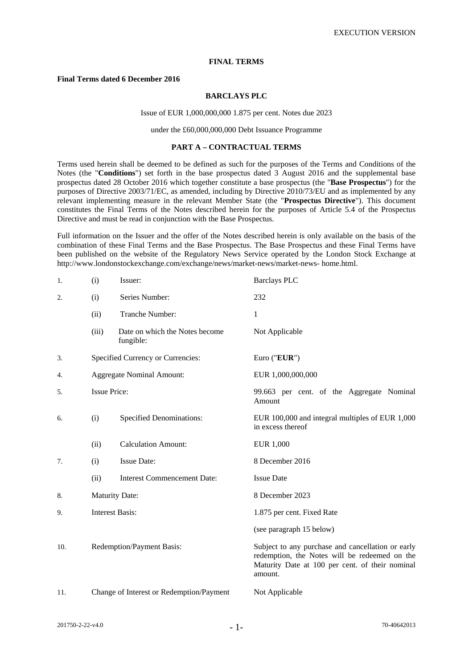# **FINAL TERMS**

# **Final Terms dated 6 December 2016**

## **BARCLAYS PLC**

#### Issue of EUR 1,000,000,000 1.875 per cent. Notes due 2023

#### under the £60,000,000,000 Debt Issuance Programme

#### **PART A – CONTRACTUAL TERMS**

Terms used herein shall be deemed to be defined as such for the purposes of the Terms and Conditions of the Notes (the "**Conditions**") set forth in the base prospectus dated 3 August 2016 and the supplemental base prospectus dated 28 October 2016 which together constitute a base prospectus (the "**Base Prospectus**") for the purposes of Directive 2003/71/EC, as amended, including by Directive 2010/73/EU and as implemented by any relevant implementing measure in the relevant Member State (the "**Prospectus Directive**"). This document constitutes the Final Terms of the Notes described herein for the purposes of Article 5.4 of the Prospectus Directive and must be read in conjunction with the Base Prospectus.

Full information on the Issuer and the offer of the Notes described herein is only available on the basis of the combination of these Final Terms and the Base Prospectus. The Base Prospectus and these Final Terms have been published on the website of the Regulatory News Service operated by the London Stock Exchange at http://www.londonstockexchange.com/exchange/news/market-news/market-news- home.html.

| 1.  | (i)<br>Issuer:                         |                                             | <b>Barclays PLC</b>                                                                                                                                              |
|-----|----------------------------------------|---------------------------------------------|------------------------------------------------------------------------------------------------------------------------------------------------------------------|
| 2.  | (i)                                    | Series Number:                              | 232                                                                                                                                                              |
|     | (ii)                                   | Tranche Number:                             | 1                                                                                                                                                                |
|     | (iii)                                  | Date on which the Notes become<br>fungible: | Not Applicable                                                                                                                                                   |
| 3.  |                                        | Specified Currency or Currencies:           | Euro ("EUR")                                                                                                                                                     |
| 4.  |                                        | <b>Aggregate Nominal Amount:</b>            | EUR 1,000,000,000                                                                                                                                                |
| 5.  | <b>Issue Price:</b>                    |                                             | 99.663 per cent. of the Aggregate Nominal<br>Amount                                                                                                              |
| 6.  | <b>Specified Denominations:</b><br>(i) |                                             | EUR 100,000 and integral multiples of EUR 1,000<br>in excess thereof                                                                                             |
|     | (ii)                                   | <b>Calculation Amount:</b>                  | <b>EUR 1,000</b>                                                                                                                                                 |
| 7.  | (i)                                    | <b>Issue Date:</b>                          | 8 December 2016                                                                                                                                                  |
|     | (ii)                                   | <b>Interest Commencement Date:</b>          | <b>Issue Date</b>                                                                                                                                                |
| 8.  | <b>Maturity Date:</b>                  |                                             | 8 December 2023                                                                                                                                                  |
| 9.  | <b>Interest Basis:</b>                 |                                             | 1.875 per cent. Fixed Rate                                                                                                                                       |
|     |                                        |                                             | (see paragraph 15 below)                                                                                                                                         |
| 10. | Redemption/Payment Basis:              |                                             | Subject to any purchase and cancellation or early<br>redemption, the Notes will be redeemed on the<br>Maturity Date at 100 per cent. of their nominal<br>amount. |
| 11. |                                        | Change of Interest or Redemption/Payment    | Not Applicable                                                                                                                                                   |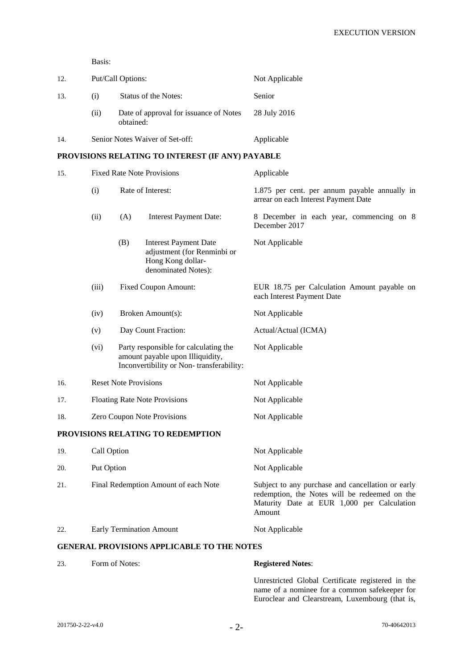Basis:

| 12. |     | Put/Call Options:                                   | Not Applicable |
|-----|-----|-----------------------------------------------------|----------------|
| 13. | (i) | Status of the Notes:                                | Senior         |
|     | (i) | Date of approval for issuance of Notes<br>obtained: | 28 July 2016   |
| 14. |     | Senior Notes Waiver of Set-off:                     | Applicable     |

# **PROVISIONS RELATING TO INTEREST (IF ANY) PAYABLE**

| 15. |                                                                                                                               |                                      | <b>Fixed Rate Note Provisions</b>                                                                       | Applicable                                                                                                                                                 |  |
|-----|-------------------------------------------------------------------------------------------------------------------------------|--------------------------------------|---------------------------------------------------------------------------------------------------------|------------------------------------------------------------------------------------------------------------------------------------------------------------|--|
|     | Rate of Interest:<br>(i)                                                                                                      |                                      |                                                                                                         | 1.875 per cent. per annum payable annually in<br>arrear on each Interest Payment Date                                                                      |  |
|     | (ii)                                                                                                                          | (A)                                  | <b>Interest Payment Date:</b>                                                                           | 8 December in each year, commencing on 8<br>December 2017                                                                                                  |  |
|     |                                                                                                                               | (B)                                  | <b>Interest Payment Date</b><br>adjustment (for Renminbi or<br>Hong Kong dollar-<br>denominated Notes): | Not Applicable                                                                                                                                             |  |
|     | (iii)                                                                                                                         | <b>Fixed Coupon Amount:</b>          |                                                                                                         | EUR 18.75 per Calculation Amount payable on<br>each Interest Payment Date                                                                                  |  |
|     | (iv)                                                                                                                          |                                      | Broken Amount(s):                                                                                       | Not Applicable                                                                                                                                             |  |
|     | (v)                                                                                                                           |                                      | Day Count Fraction:                                                                                     | Actual/Actual (ICMA)                                                                                                                                       |  |
|     | Party responsible for calculating the<br>(vi)<br>amount payable upon Illiquidity,<br>Inconvertibility or Non-transferability: |                                      |                                                                                                         | Not Applicable                                                                                                                                             |  |
| 16. |                                                                                                                               | <b>Reset Note Provisions</b>         |                                                                                                         | Not Applicable                                                                                                                                             |  |
| 17. |                                                                                                                               |                                      | <b>Floating Rate Note Provisions</b>                                                                    | Not Applicable                                                                                                                                             |  |
| 18. |                                                                                                                               |                                      | Zero Coupon Note Provisions                                                                             | Not Applicable                                                                                                                                             |  |
|     |                                                                                                                               |                                      | PROVISIONS RELATING TO REDEMPTION                                                                       |                                                                                                                                                            |  |
| 19. | Call Option                                                                                                                   |                                      |                                                                                                         | Not Applicable                                                                                                                                             |  |
| 20. | Put Option                                                                                                                    |                                      |                                                                                                         | Not Applicable                                                                                                                                             |  |
| 21. |                                                                                                                               | Final Redemption Amount of each Note |                                                                                                         | Subject to any purchase and cancellation or early<br>redemption, the Notes will be redeemed on the<br>Maturity Date at EUR 1,000 per Calculation<br>Amount |  |
| 22. |                                                                                                                               |                                      | <b>Early Termination Amount</b>                                                                         | Not Applicable                                                                                                                                             |  |

# **GENERAL PROVISIONS APPLICABLE TO THE NOTES**

23. Form of Notes: **Registered Notes**:

Unrestricted Global Certificate registered in the name of a nominee for a common safekeeper for Euroclear and Clearstream, Luxembourg (that is,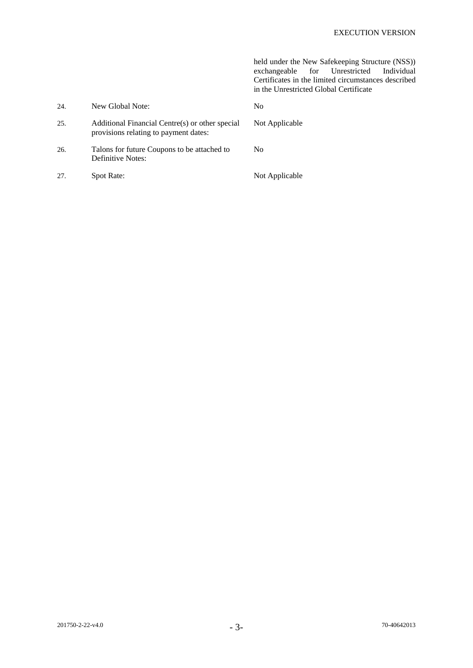|     |                                                                                          | held under the New Safekeeping Structure (NSS))<br>for Unrestricted<br>Individual<br>exchangeable<br>Certificates in the limited circumstances described<br>in the Unrestricted Global Certificate |
|-----|------------------------------------------------------------------------------------------|----------------------------------------------------------------------------------------------------------------------------------------------------------------------------------------------------|
| 24. | New Global Note:                                                                         | N <sub>0</sub>                                                                                                                                                                                     |
| 25. | Additional Financial Centre(s) or other special<br>provisions relating to payment dates: | Not Applicable                                                                                                                                                                                     |
| 26. | Talons for future Coupons to be attached to<br>Definitive Notes:                         | No.                                                                                                                                                                                                |
| 27. | <b>Spot Rate:</b>                                                                        | Not Applicable                                                                                                                                                                                     |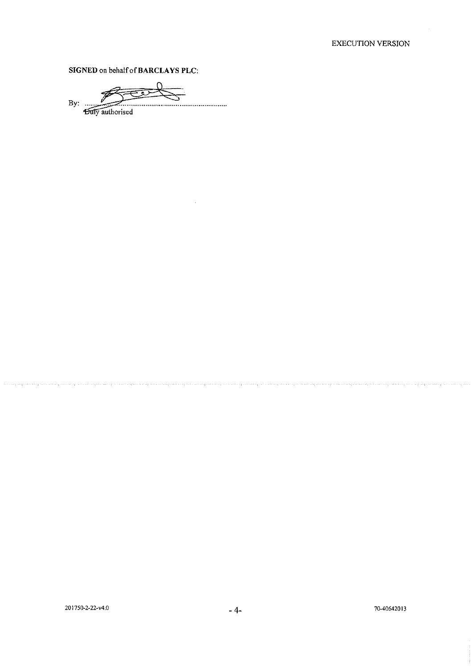SIGNED on behalf of BARCLAYS PLC:

By:  $\ldots$ ................... **Duly** authorised

.<br>Linda tutun bahasa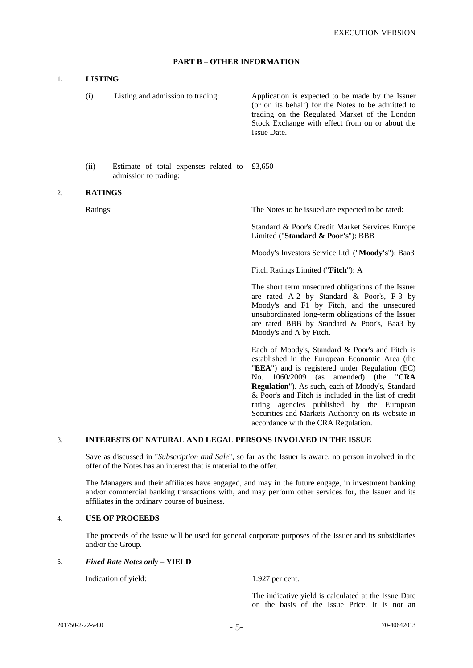# **PART B – OTHER INFORMATION**

### 1. **LISTING**

 (i) Listing and admission to trading: Application is expected to be made by the Issuer (or on its behalf) for the Notes to be admitted to trading on the Regulated Market of the London Stock Exchange with effect from on or about the Issue Date.

 (ii) Estimate of total expenses related to £3,650 admission to trading:

#### 2. **RATINGS**

Ratings: The Notes to be issued are expected to be rated:

 Standard & Poor's Credit Market Services Europe Limited ("**Standard & Poor's**"): BBB

Moody's Investors Service Ltd. ("**Moody's**"): Baa3

Fitch Ratings Limited ("**Fitch**"): A

 The short term unsecured obligations of the Issuer are rated A-2 by Standard & Poor's, P-3 by Moody's and F1 by Fitch, and the unsecured unsubordinated long-term obligations of the Issuer are rated BBB by Standard & Poor's, Baa3 by Moody's and A by Fitch.

 Each of Moody's, Standard & Poor's and Fitch is established in the European Economic Area (the "**EEA**") and is registered under Regulation (EC) No. 1060/2009 (as amended) (the "**CRA Regulation**"). As such, each of Moody's, Standard & Poor's and Fitch is included in the list of credit rating agencies published by the European Securities and Markets Authority on its website in accordance with the CRA Regulation.

### 3. **INTERESTS OF NATURAL AND LEGAL PERSONS INVOLVED IN THE ISSUE**

 Save as discussed in "*Subscription and Sale*", so far as the Issuer is aware, no person involved in the offer of the Notes has an interest that is material to the offer.

 The Managers and their affiliates have engaged, and may in the future engage, in investment banking and/or commercial banking transactions with, and may perform other services for, the Issuer and its affiliates in the ordinary course of business.

#### 4. **USE OF PROCEEDS**

 The proceeds of the issue will be used for general corporate purposes of the Issuer and its subsidiaries and/or the Group.

### 5. *Fixed Rate Notes only* **– YIELD**

Indication of yield: 1.927 per cent.

 The indicative yield is calculated at the Issue Date on the basis of the Issue Price. It is not an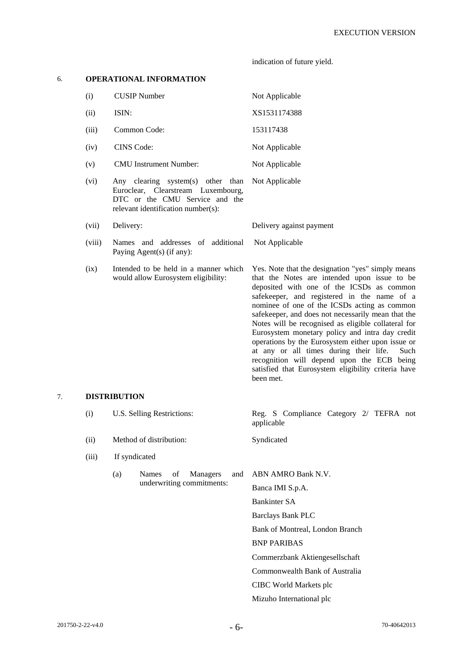indication of future yield.

# 6. **OPERATIONAL INFORMATION**

| (i)   | <b>CUSIP</b> Number                                                                                                                                            | Not Applicable           |
|-------|----------------------------------------------------------------------------------------------------------------------------------------------------------------|--------------------------|
| (ii)  | ISIN:                                                                                                                                                          | XS1531174388             |
| (iii) | Common Code:                                                                                                                                                   | 153117438                |
| (iv)  | CINS Code:                                                                                                                                                     | Not Applicable           |
| (v)   | <b>CMU</b> Instrument Number:                                                                                                                                  | Not Applicable           |
| (vi)  | Any clearing system(s) other than Not Applicable<br>Euroclear, Clearstream Luxembourg,<br>DTC or the CMU Service and the<br>relevant identification number(s): |                          |
| (vii) | Delivery:                                                                                                                                                      | Delivery against payment |

- (viii) Names and addresses of additional Paying Agent(s) (if any): Not Applicable
- (ix) Intended to be held in a manner which would allow Eurosystem eligibility:

Yes. Note that the designation "yes" simply means that the Notes are intended upon issue to be deposited with one of the ICSDs as common safekeeper, and registered in the name of a nominee of one of the ICSDs acting as common safekeeper, and does not necessarily mean that the Notes will be recognised as eligible collateral for Eurosystem monetary policy and intra day credit operations by the Eurosystem either upon issue or at any or all times during their life. Such recognition will depend upon the ECB being satisfied that Eurosystem eligibility criteria have been met.

# 7. **DISTRIBUTION**

|  | (i)<br>U.S. Selling Restrictions:<br>Method of distribution:<br>(ii) |                                                     | Reg. S Compliance Category 2/ TEFRA not<br>applicable |  |  |
|--|----------------------------------------------------------------------|-----------------------------------------------------|-------------------------------------------------------|--|--|
|  |                                                                      |                                                     | Syndicated                                            |  |  |
|  | (iii)                                                                | If syndicated                                       |                                                       |  |  |
|  |                                                                      | <b>Managers</b><br>(a)<br>and<br><b>Names</b><br>of | ABN AMRO Bank N.V.                                    |  |  |
|  |                                                                      | underwriting commitments:                           | Banca IMI S.p.A.                                      |  |  |
|  |                                                                      |                                                     | <b>Bankinter SA</b>                                   |  |  |
|  |                                                                      |                                                     | <b>Barclays Bank PLC</b>                              |  |  |
|  |                                                                      |                                                     | Bank of Montreal, London Branch                       |  |  |
|  |                                                                      |                                                     | <b>BNP PARIBAS</b>                                    |  |  |
|  |                                                                      |                                                     | Commerzbank Aktiengesellschaft                        |  |  |
|  |                                                                      |                                                     | Commonwealth Bank of Australia                        |  |  |
|  |                                                                      |                                                     | CIBC World Markets plc                                |  |  |
|  |                                                                      |                                                     | Mizuho International plc                              |  |  |